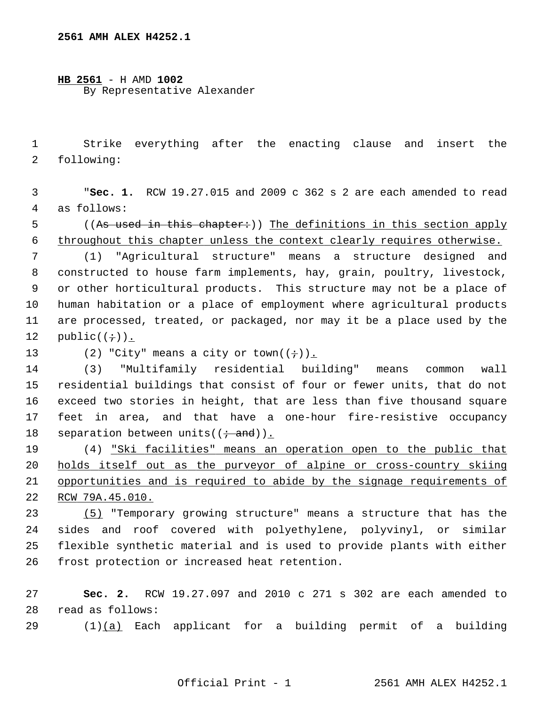**HB 2561** - H AMD **1002** By Representative Alexander

 1 Strike everything after the enacting clause and insert the 2 following:

 3 "**Sec. 1.** RCW 19.27.015 and 2009 c 362 s 2 are each amended to read 4 as follows:

5 ((As used in this chapter:)) The definitions in this section apply 6 throughout this chapter unless the context clearly requires otherwise.

 7 (1) "Agricultural structure" means a structure designed and 8 constructed to house farm implements, hay, grain, poultry, livestock, 9 or other horticultural products. This structure may not be a place of 10 human habitation or a place of employment where agricultural products 11 are processed, treated, or packaged, nor may it be a place used by the 12  $public((\div))$ .

13 (2) "City" means a city or town( $(\div)$ ).

14 (3) "Multifamily residential building" means common wall 15 residential buildings that consist of four or fewer units, that do not 16 exceed two stories in height, that are less than five thousand square 17 feet in area, and that have a one-hour fire-resistive occupancy 18 separation between units( $(i \cdot$ and)).

19 (4) "Ski facilities" means an operation open to the public that holds itself out as the purveyor of alpine or cross-country skiing opportunities and is required to abide by the signage requirements of RCW 79A.45.010.

23 (5) "Temporary growing structure" means a structure that has the 24 sides and roof covered with polyethylene, polyvinyl, or similar 25 flexible synthetic material and is used to provide plants with either 26 frost protection or increased heat retention.

27 **Sec. 2.** RCW 19.27.097 and 2010 c 271 s 302 are each amended to 28 read as follows:

29 (1)(a) Each applicant for a building permit of a building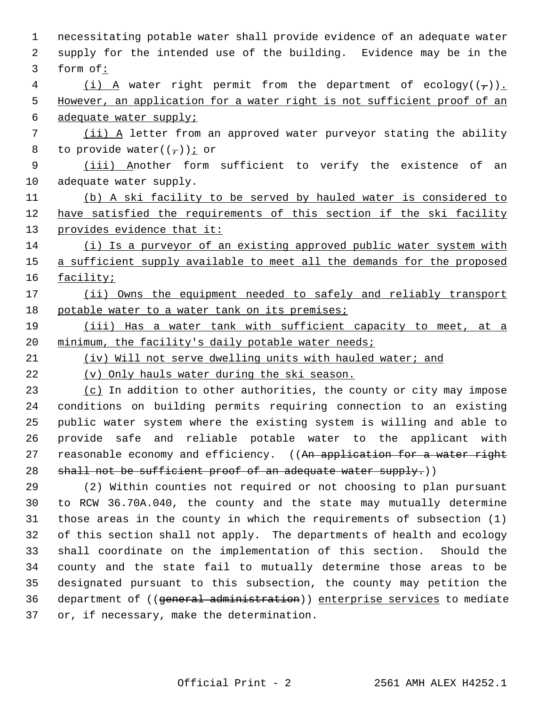1 necessitating potable water shall provide evidence of an adequate water 2 supply for the intended use of the building. Evidence may be in the 3 form of: 4 (i) A water right permit from the department of ecology( $(\tau)$ ). 5 However, an application for a water right is not sufficient proof of an 6 adequate water supply; 7 (ii) A letter from an approved water purveyor stating the ability 8 to provide water( $(\frac{\ }{\ }))$  j or 9 (iii) Another form sufficient to verify the existence of an 10 adequate water supply. 11 (b) A ski facility to be served by hauled water is considered to 12 have satisfied the requirements of this section if the ski facility 13 provides evidence that it: 14 (i) Is a purveyor of an existing approved public water system with 15 a sufficient supply available to meet all the demands for the proposed 16 facility; 17 (ii) Owns the equipment needed to safely and reliably transport 18 potable water to a water tank on its premises; 19 (iii) Has a water tank with sufficient capacity to meet, at a 20 minimum, the facility's daily potable water needs; 21 (iv) Will not serve dwelling units with hauled water; and 22 (v) Only hauls water during the ski season. 23 (c) In addition to other authorities, the county or city may impose 24 conditions on building permits requiring connection to an existing 25 public water system where the existing system is willing and able to 26 provide safe and reliable potable water to the applicant with 27 reasonable economy and efficiency. ((An application for a water right 28 shall not be sufficient proof of an adequate water supply.)) 29 (2) Within counties not required or not choosing to plan pursuant 30 to RCW 36.70A.040, the county and the state may mutually determine 31 those areas in the county in which the requirements of subsection (1) 32 of this section shall not apply. The departments of health and ecology 33 shall coordinate on the implementation of this section. Should the 34 county and the state fail to mutually determine those areas to be 35 designated pursuant to this subsection, the county may petition the 36 department of ((general administration)) enterprise services to mediate

37 or, if necessary, make the determination.